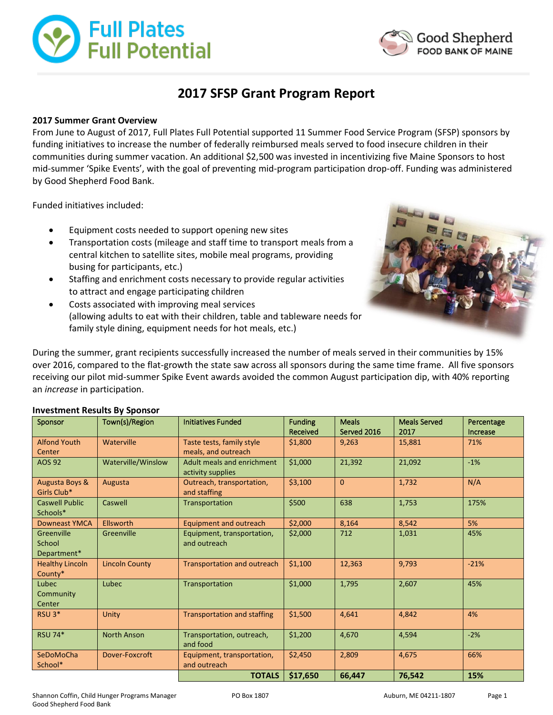



# **2017 SFSP Grant Program Report**

## **2017 Summer Grant Overview**

From June to August of 2017, Full Plates Full Potential supported 11 Summer Food Service Program (SFSP) sponsors by funding initiatives to increase the number of federally reimbursed meals served to food insecure children in their communities during summer vacation. An additional \$2,500 was invested in incentivizing five Maine Sponsors to host mid-summer 'Spike Events', with the goal of preventing mid-program participation drop-off. Funding was administered by Good Shepherd Food Bank.

Funded initiatives included:

- Equipment costs needed to support opening new sites
- Transportation costs (mileage and staff time to transport meals from a central kitchen to satellite sites, mobile meal programs, providing busing for participants, etc.)
- Staffing and enrichment costs necessary to provide regular activities to attract and engage participating children
- Costs associated with improving meal services (allowing adults to eat with their children, table and tableware needs for family style dining, equipment needs for hot meals, etc.)



During the summer, grant recipients successfully increased the number of meals served in their communities by 15% over 2016, compared to the flat-growth the state saw across all sponsors during the same time frame. All five sponsors receiving our pilot mid-summer Spike Event awards avoided the common August participation dip, with 40% reporting an *increase* in participation.

| Sponsor                             | Town(s)/Region        | <b>Initiatives Funded</b>                        | <b>Funding</b><br>Received | <b>Meals</b><br>Served 2016 | <b>Meals Served</b><br>2017 | Percentage<br>Increase |
|-------------------------------------|-----------------------|--------------------------------------------------|----------------------------|-----------------------------|-----------------------------|------------------------|
| <b>Alfond Youth</b><br>Center       | Waterville            | Taste tests, family style<br>meals, and outreach | \$1,800                    | 9,263                       | 15,881                      | 71%                    |
| <b>AOS 92</b>                       | Waterville/Winslow    | Adult meals and enrichment<br>activity supplies  | \$1,000                    | 21,392                      | 21,092                      | $-1%$                  |
| Augusta Boys &<br>Girls Club*       | Augusta               | Outreach, transportation,<br>and staffing        | \$3,100                    | $\overline{0}$              | 1,732                       | N/A                    |
| <b>Caswell Public</b><br>Schools*   | Caswell               | Transportation                                   | \$500                      | 638                         | 1,753                       | 175%                   |
| <b>Downeast YMCA</b>                | Ellsworth             | Equipment and outreach                           | \$2,000                    | 8,164                       | 8,542                       | 5%                     |
| Greenville<br>School<br>Department* | Greenville            | Equipment, transportation,<br>and outreach       | \$2,000                    | 712                         | 1,031                       | 45%                    |
| <b>Healthy Lincoln</b><br>County*   | <b>Lincoln County</b> | <b>Transportation and outreach</b>               | \$1,100                    | 12,363                      | 9,793                       | $-21%$                 |
| Lubec<br>Community<br>Center        | Lubec                 | Transportation                                   | \$1,000                    | 1,795                       | 2,607                       | 45%                    |
| $RSU$ 3 <sup>*</sup>                | Unity                 | <b>Transportation and staffing</b>               | \$1,500                    | 4,641                       | 4,842                       | 4%                     |
| <b>RSU 74*</b>                      | <b>North Anson</b>    | Transportation, outreach,<br>and food            | \$1,200                    | 4,670                       | 4,594                       | $-2%$                  |
| SeDoMoCha<br>School*                | Dover-Foxcroft        | Equipment, transportation,<br>and outreach       | \$2,450                    | 2,809                       | 4,675                       | 66%                    |
|                                     |                       | <b>TOTALS</b>                                    | \$17,650                   | 66,447                      | 76,542                      | 15%                    |

#### **Investment Results By Sponsor**